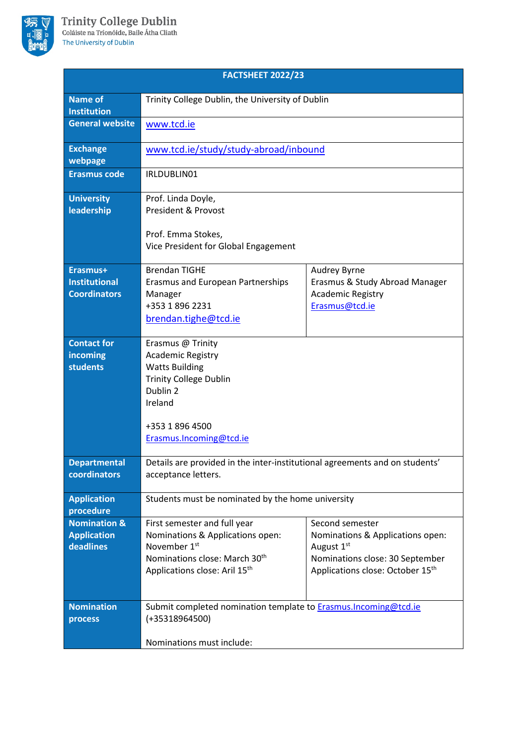

| <b>FACTSHEET 2022/23</b>                                   |                                                                                                                                                                              |                                                                                                                                          |
|------------------------------------------------------------|------------------------------------------------------------------------------------------------------------------------------------------------------------------------------|------------------------------------------------------------------------------------------------------------------------------------------|
| <b>Name of</b><br><b>Institution</b>                       | Trinity College Dublin, the University of Dublin                                                                                                                             |                                                                                                                                          |
| <b>General website</b>                                     | www.tcd.ie                                                                                                                                                                   |                                                                                                                                          |
| <b>Exchange</b><br>webpage                                 | www.tcd.ie/study/study-abroad/inbound                                                                                                                                        |                                                                                                                                          |
| <b>Erasmus code</b>                                        | IRLDUBLIN01                                                                                                                                                                  |                                                                                                                                          |
| <b>University</b><br>leadership                            | Prof. Linda Doyle,<br><b>President &amp; Provost</b><br>Prof. Emma Stokes,                                                                                                   |                                                                                                                                          |
|                                                            | Vice President for Global Engagement                                                                                                                                         |                                                                                                                                          |
| Erasmus+<br><b>Institutional</b><br><b>Coordinators</b>    | <b>Brendan TIGHE</b><br>Erasmus and European Partnerships<br>Manager<br>+353 1 896 2231<br>brendan.tighe@tcd.ie                                                              | Audrey Byrne<br>Erasmus & Study Abroad Manager<br><b>Academic Registry</b><br>Erasmus@tcd.ie                                             |
| <b>Contact for</b><br>incoming<br><b>students</b>          | Erasmus @ Trinity<br><b>Academic Registry</b><br><b>Watts Building</b><br><b>Trinity College Dublin</b><br>Dublin 2<br>Ireland<br>+353 1 896 4500<br>Erasmus.Incoming@tcd.ie |                                                                                                                                          |
| <b>Departmental</b><br>coordinators                        | Details are provided in the inter-institutional agreements and on students'<br>acceptance letters.                                                                           |                                                                                                                                          |
| <b>Application</b><br>procedure                            | Students must be nominated by the home university                                                                                                                            |                                                                                                                                          |
| <b>Nomination &amp;</b><br><b>Application</b><br>deadlines | First semester and full year<br>Nominations & Applications open:<br>November 1 <sup>st</sup><br>Nominations close: March 30 <sup>th</sup><br>Applications close: Aril 15th   | Second semester<br>Nominations & Applications open:<br>August 1st<br>Nominations close: 30 September<br>Applications close: October 15th |
| <b>Nomination</b><br>process                               | Submit completed nomination template to <b>Erasmus.Incoming@tcd.ie</b><br>$(+35318964500)$<br>Nominations must include:                                                      |                                                                                                                                          |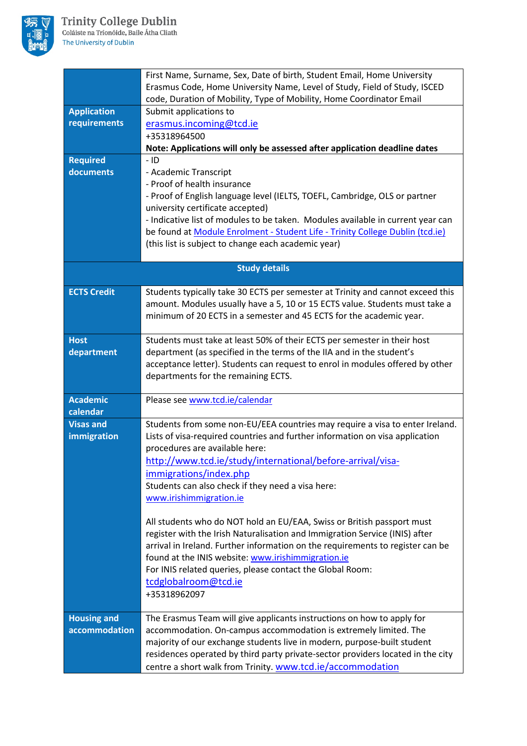

|                              | First Name, Surname, Sex, Date of birth, Student Email, Home University<br>Erasmus Code, Home University Name, Level of Study, Field of Study, ISCED          |  |
|------------------------------|---------------------------------------------------------------------------------------------------------------------------------------------------------------|--|
|                              | code, Duration of Mobility, Type of Mobility, Home Coordinator Email                                                                                          |  |
| <b>Application</b>           | Submit applications to                                                                                                                                        |  |
| requirements                 | erasmus.incoming@tcd.ie                                                                                                                                       |  |
|                              | +35318964500                                                                                                                                                  |  |
|                              | Note: Applications will only be assessed after application deadline dates                                                                                     |  |
| <b>Required</b><br>documents | $-1D$<br>- Academic Transcript                                                                                                                                |  |
|                              | - Proof of health insurance                                                                                                                                   |  |
|                              | - Proof of English language level (IELTS, TOEFL, Cambridge, OLS or partner                                                                                    |  |
|                              | university certificate accepted)                                                                                                                              |  |
|                              | - Indicative list of modules to be taken. Modules available in current year can                                                                               |  |
|                              | be found at Module Enrolment - Student Life - Trinity College Dublin (tcd.ie)                                                                                 |  |
|                              | (this list is subject to change each academic year)                                                                                                           |  |
|                              | <b>Study details</b>                                                                                                                                          |  |
|                              |                                                                                                                                                               |  |
| <b>ECTS Credit</b>           | Students typically take 30 ECTS per semester at Trinity and cannot exceed this                                                                                |  |
|                              | amount. Modules usually have a 5, 10 or 15 ECTS value. Students must take a<br>minimum of 20 ECTS in a semester and 45 ECTS for the academic year.            |  |
|                              |                                                                                                                                                               |  |
| <b>Host</b>                  | Students must take at least 50% of their ECTS per semester in their host                                                                                      |  |
| department                   | department (as specified in the terms of the IIA and in the student's                                                                                         |  |
|                              | acceptance letter). Students can request to enrol in modules offered by other                                                                                 |  |
|                              | departments for the remaining ECTS.                                                                                                                           |  |
| <b>Academic</b>              | Please see www.tcd.ie/calendar                                                                                                                                |  |
| calendar                     |                                                                                                                                                               |  |
| <b>Visas and</b>             | Students from some non-EU/EEA countries may require a visa to enter Ireland.                                                                                  |  |
| immigration                  | Lists of visa-required countries and further information on visa application<br>procedures are available here:                                                |  |
|                              | http://www.tcd.ie/study/international/before-arrival/visa-                                                                                                    |  |
|                              | immigrations/index.php                                                                                                                                        |  |
|                              | Students can also check if they need a visa here:                                                                                                             |  |
|                              | www.irishimmigration.ie                                                                                                                                       |  |
|                              |                                                                                                                                                               |  |
|                              | All students who do NOT hold an EU/EAA, Swiss or British passport must                                                                                        |  |
|                              | register with the Irish Naturalisation and Immigration Service (INIS) after<br>arrival in Ireland. Further information on the requirements to register can be |  |
|                              | found at the INIS website: www.irishimmigration.ie                                                                                                            |  |
|                              | For INIS related queries, please contact the Global Room:                                                                                                     |  |
|                              | tcdglobalroom@tcd.ie                                                                                                                                          |  |
|                              | +35318962097                                                                                                                                                  |  |
| <b>Housing and</b>           | The Erasmus Team will give applicants instructions on how to apply for                                                                                        |  |
| accommodation                | accommodation. On-campus accommodation is extremely limited. The                                                                                              |  |
|                              | majority of our exchange students live in modern, purpose-built student                                                                                       |  |
|                              | residences operated by third party private-sector providers located in the city                                                                               |  |
|                              | centre a short walk from Trinity. www.tcd.ie/accommodation                                                                                                    |  |